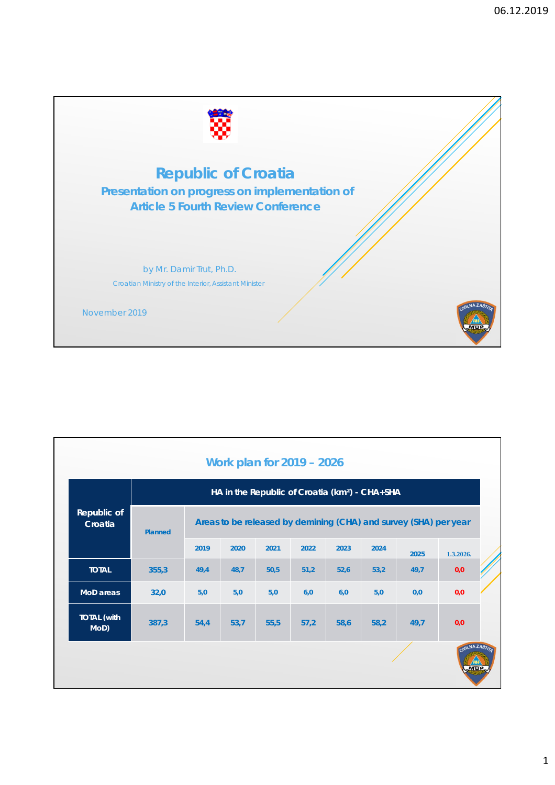

|                            |                |      |      |      | Work plan for 2019 - 2026 |      | HA in the Republic of Croatia (km <sup>2</sup> ) - CHA+SHA |                                                                  |             |  |
|----------------------------|----------------|------|------|------|---------------------------|------|------------------------------------------------------------|------------------------------------------------------------------|-------------|--|
| Republic of<br>Croatia     | <b>Planned</b> |      |      |      |                           |      |                                                            | Areas to be released by demining (CHA) and survey (SHA) per year |             |  |
|                            |                | 2019 | 2020 | 2021 | 2022                      | 2023 | 2024                                                       | 2025                                                             | 1.3.2026.   |  |
| <b>TOTAL</b>               | 355,3          | 49,4 | 48,7 | 50,5 | 51,2                      | 52,6 | 53,2                                                       | 49,7                                                             | 0,0         |  |
| MoD areas                  | 32,0           | 5,0  | 5,0  | 5,0  | 6,0                       | 6,0  | 5,0                                                        | 0,0                                                              | 0,0         |  |
| <b>TOTAL (with</b><br>MoD) | 387,3          | 54,4 | 53,7 | 55,5 | 57,2                      | 58,6 | 58,2                                                       | 49,7                                                             | 0,0         |  |
|                            |                |      |      |      |                           |      |                                                            |                                                                  | CIVILNAZAS; |  |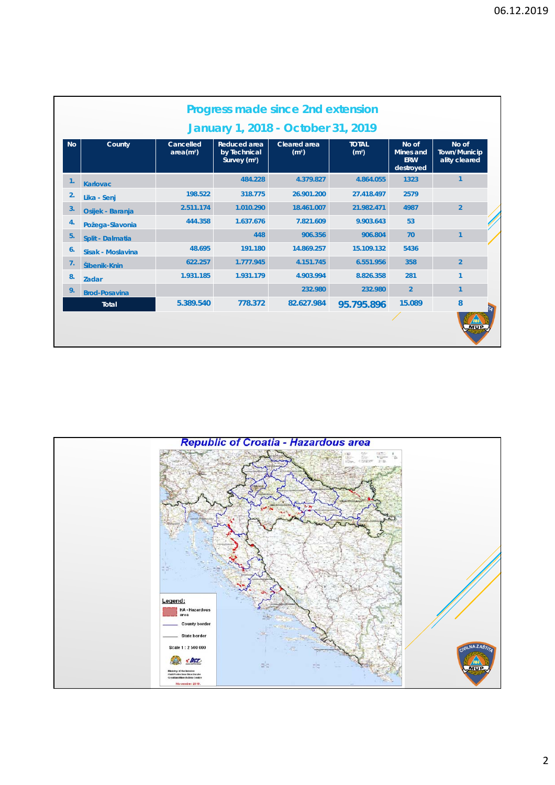|                | January 1, 2018 - October 31, 2019 |                                    |                                                                 |                                          |                                   |                                                      |                                               |  |  |
|----------------|------------------------------------|------------------------------------|-----------------------------------------------------------------|------------------------------------------|-----------------------------------|------------------------------------------------------|-----------------------------------------------|--|--|
| <b>No</b>      | County                             | Cancelled<br>area(m <sup>2</sup> ) | <b>Reduced area</b><br>by Technical<br>Survey (m <sup>2</sup> ) | <b>Cleared area</b><br>(m <sup>2</sup> ) | <b>TOTAL</b><br>(m <sup>2</sup> ) | No of<br><b>Mines and</b><br><b>ERW</b><br>destroyed | No of<br><b>Town/Municip</b><br>ality cleared |  |  |
| $\mathbf{1}$ . | <b>Karlovac</b>                    |                                    | 484.228                                                         | 4.379.827                                | 4.864.055                         | 1323                                                 | $\mathbf{1}$                                  |  |  |
| 2.             | Lika - Senj                        | 198.522                            | 318.775                                                         | 26.901.200                               | 27.418.497                        | 2579                                                 |                                               |  |  |
| 3.             | Osijek - Baranja                   | 2.511.174                          | 1.010.290                                                       | 18.461.007                               | 21.982.471                        | 4987                                                 | $\overline{2}$                                |  |  |
| 4.             | Požega-Slavonia                    | 444.358                            | 1.637.676                                                       | 7.821.609                                | 9.903.643                         | 53                                                   |                                               |  |  |
| 5.             | Split - Dalmatia                   |                                    | 448                                                             | 906.356                                  | 906.804                           | 70                                                   | $\mathbf{1}$                                  |  |  |
| 6 <sub>1</sub> | Sisak - Moslavina                  | 48.695                             | 191.180                                                         | 14.869.257                               | 15.109.132                        | 5436                                                 |                                               |  |  |
| 7.             | Šibenik-Knin                       | 622.257                            | 1.777.945                                                       | 4.151.745                                | 6.551.956                         | 358                                                  | $\overline{2}$                                |  |  |
| 8.             | <b>Zadar</b>                       | 1.931.185                          | 1.931.179                                                       | 4.903.994                                | 8.826.358                         | 281                                                  | 1                                             |  |  |
| 9.             | <b>Brod-Posavina</b>               |                                    |                                                                 | 232.980                                  | 232.980                           | $\overline{2}$                                       | 1                                             |  |  |
|                | Total                              | 5.389.540                          | 778.372                                                         | 82.627.984                               | 95.795.896                        | 15.089                                               | 8                                             |  |  |
|                |                                    |                                    |                                                                 |                                          |                                   |                                                      |                                               |  |  |

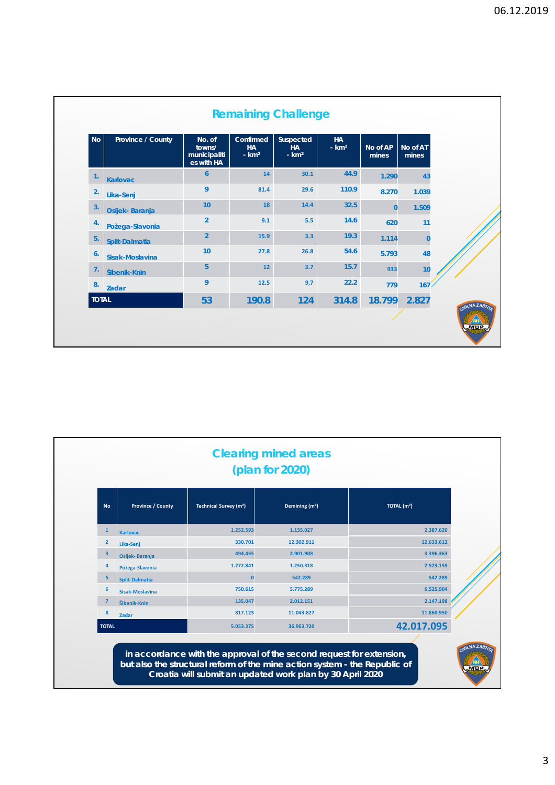| <b>No</b>      | Province / County | No. of<br>towns/<br>municipaliti<br>es with HA | Confirmed<br><b>HA</b><br>$- km2$ | Suspected<br><b>HA</b><br>$- km2$ | <b>HA</b><br>$-km2$ | No of AP<br>mines | No of AT<br>mines |
|----------------|-------------------|------------------------------------------------|-----------------------------------|-----------------------------------|---------------------|-------------------|-------------------|
| $\mathbf{1}$ . | <b>Karlovac</b>   | $\boldsymbol{6}$                               | 14                                | 30.1                              | 44.9                | 1.290             | 43                |
| 2.             | Lika-Senj         | 9                                              | 81.4                              | 29.6                              | 110.9               | 8.270             | 1.039             |
| 3.             | Osijek-Baranja    | 10                                             | 18                                | 14.4                              | 32.5                | $\bf{0}$          | 1.509             |
| 4.             | Požega-Slavonia   | $\overline{2}$                                 | 9.1                               | 5.5                               | 14.6                | 620               | 11                |
| 5.             | Split-Dalmatia    | $\overline{2}$                                 | 15.9                              | 3.3                               | 19.3                | 1.114             | $\overline{0}$    |
| 6.             | Sisak-Moslavina   | 10                                             | 27.8                              | 26.8                              | 54.6                | 5.793             | 48                |
| 7.             | Šibenik-Knin      | 5                                              | 12                                | 3.7                               | 15.7                | 933               | 10                |
| 8.             | Zadar             | 9                                              | 12.5                              | 9,7                               | 22.2                | 779               | 167               |
| <b>TOTAL</b>   |                   | 53                                             | 190.8                             | 124                               | 314.8               | 18.799            | 2.827             |

| <b>No</b>      | <b>Province / County</b> | <b>Technical Survey (m<sup>2</sup>)</b> | Demining (m <sup>2</sup> ) | TOTAL (m <sup>2</sup> ) |
|----------------|--------------------------|-----------------------------------------|----------------------------|-------------------------|
| $\mathbf{1}$   | <b>Karlovac</b>          | 1.252.593                               | 1.135.027                  | 2.387.620               |
| $\overline{2}$ | Lika-Senj                | 330.701                                 | 12.302.911                 | 12.633.612              |
| 3              | Osijek-Baranja           | 494.455                                 | 2.901.908                  | 3.396.363               |
| 4              | Požega-Slavonia          | 1.272.841                               | 1.250.318                  | 2.523.159               |
| 5              | Split-Dalmatia           | n                                       | 542.289                    | 542.289                 |
| 6              | Sisak-Moslavina          | 750.615                                 | 5.775.289                  | 6.525.904               |
|                | Šibenik-Knin             | 135.047                                 | 2.012.151                  | 2.147.198               |
| 8              | Zadar                    | 817.123                                 | 11.043.827                 | 11.860.950              |
| <b>TOTAL</b>   |                          | 5.053.375                               | 36.963.720                 | 42.017.095              |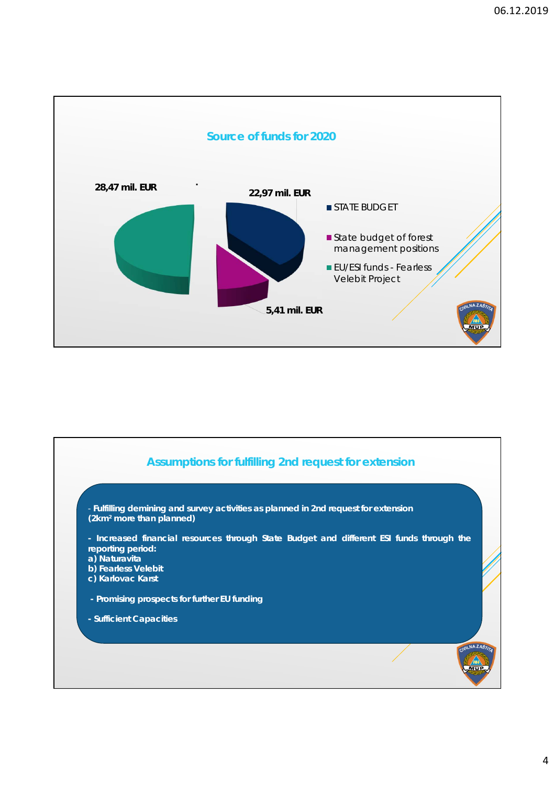